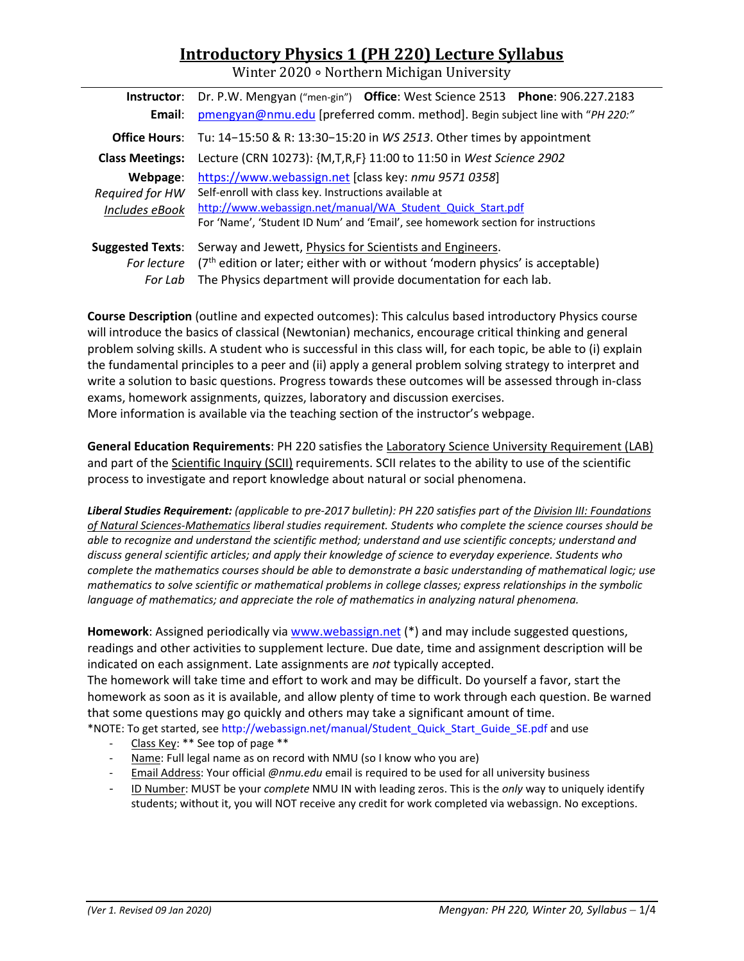# **Introductory Physics 1 (PH 220) Lecture Syllabus**

Winter 2020 ∘ Northern Michigan University

| Instructor:             | Dr. P.W. Mengyan ("men-gin") Office: West Science 2513 Phone: 906.227.2183      |  |  |  |
|-------------------------|---------------------------------------------------------------------------------|--|--|--|
| Email:                  | pmengyan@nmu.edu [preferred comm. method]. Begin subject line with "PH 220:"    |  |  |  |
| <b>Office Hours:</b>    | Tu: 14-15:50 & R: 13:30-15:20 in WS 2513. Other times by appointment            |  |  |  |
| <b>Class Meetings:</b>  | Lecture (CRN 10273): {M,T,R,F} 11:00 to 11:50 in West Science 2902              |  |  |  |
| Webpage:                | https://www.webassign.net [class key: nmu 9571 0358]                            |  |  |  |
| Required for HW         | Self-enroll with class key. Instructions available at                           |  |  |  |
| Includes eBook          | http://www.webassign.net/manual/WA Student Quick Start.pdf                      |  |  |  |
|                         | For 'Name', 'Student ID Num' and 'Email', see homework section for instructions |  |  |  |
| <b>Suggested Texts:</b> | Serway and Jewett, Physics for Scientists and Engineers.                        |  |  |  |
| For lecture             | $(7th$ edition or later; either with or without 'modern physics' is acceptable) |  |  |  |
| For Lab                 | The Physics department will provide documentation for each lab.                 |  |  |  |

**Course Description** (outline and expected outcomes): This calculus based introductory Physics course will introduce the basics of classical (Newtonian) mechanics, encourage critical thinking and general problem solving skills. A student who is successful in this class will, for each topic, be able to (i) explain the fundamental principles to a peer and (ii) apply a general problem solving strategy to interpret and write a solution to basic questions. Progress towards these outcomes will be assessed through in‐class exams, homework assignments, quizzes, laboratory and discussion exercises. More information is available via the teaching section of the instructor's webpage.

**General Education Requirements**: PH 220 satisfies the Laboratory Science University Requirement (LAB) and part of the Scientific Inquiry (SCII) requirements. SCII relates to the ability to use of the scientific process to investigate and report knowledge about natural or social phenomena.

*Liberal Studies Requirement: (applicable to pre‐2017 bulletin): PH 220 satisfies part of the Division III: Foundations of Natural Sciences‐Mathematics liberal studies requirement. Students who complete the science courses should be able to recognize and understand the scientific method; understand and use scientific concepts; understand and discuss general scientific articles; and apply their knowledge of science to everyday experience. Students who complete the mathematics courses should be able to demonstrate a basic understanding of mathematical logic; use mathematics to solve scientific or mathematical problems in college classes; express relationships in the symbolic language of mathematics; and appreciate the role of mathematics in analyzing natural phenomena.* 

**Homework**: Assigned periodically via www.webassign.net (\*) and may include suggested questions, readings and other activities to supplement lecture. Due date, time and assignment description will be indicated on each assignment. Late assignments are *not* typically accepted.

The homework will take time and effort to work and may be difficult. Do yourself a favor, start the homework as soon as it is available, and allow plenty of time to work through each question. Be warned that some questions may go quickly and others may take a significant amount of time.

\*NOTE: To get started, see http://webassign.net/manual/Student\_Quick\_Start\_Guide\_SE.pdf and use

- ‐ Class Key: \*\* See top of page \*\*
- ‐ Name: Full legal name as on record with NMU (so I know who you are)
- ‐ Email Address: Your official *@nmu.edu* email is required to be used for all university business
- ‐ ID Number: MUST be your *complete* NMU IN with leading zeros. This is the *only* way to uniquely identify students; without it, you will NOT receive any credit for work completed via webassign. No exceptions.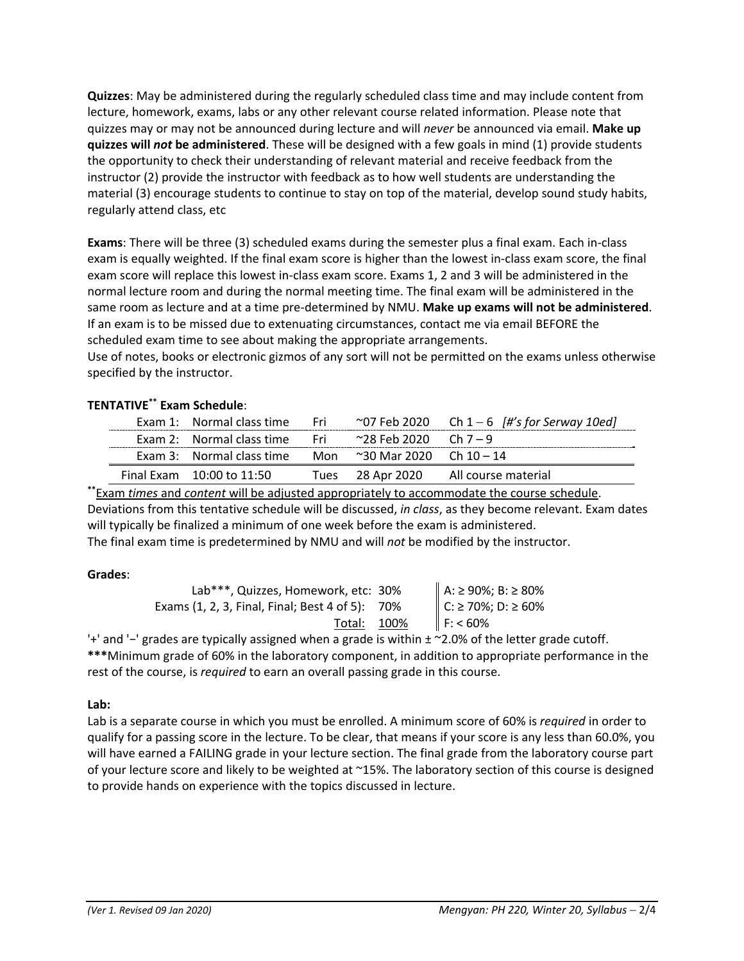**Quizzes**: May be administered during the regularly scheduled class time and may include content from lecture, homework, exams, labs or any other relevant course related information. Please note that quizzes may or may not be announced during lecture and will *never* be announced via email. **Make up quizzes will** *not* **be administered**. These will be designed with a few goals in mind (1) provide students the opportunity to check their understanding of relevant material and receive feedback from the instructor (2) provide the instructor with feedback as to how well students are understanding the material (3) encourage students to continue to stay on top of the material, develop sound study habits, regularly attend class, etc

**Exams**: There will be three (3) scheduled exams during the semester plus a final exam. Each in‐class exam is equally weighted. If the final exam score is higher than the lowest in‐class exam score, the final exam score will replace this lowest in‐class exam score. Exams 1, 2 and 3 will be administered in the normal lecture room and during the normal meeting time. The final exam will be administered in the same room as lecture and at a time pre‐determined by NMU. **Make up exams will not be administered**. If an exam is to be missed due to extenuating circumstances, contact me via email BEFORE the scheduled exam time to see about making the appropriate arrangements.

Use of notes, books or electronic gizmos of any sort will not be permitted on the exams unless otherwise specified by the instructor.

# **TENTATIVE\*\* Exam Schedule**:

| Exam 1: Normal class time Fri                                  |                  | $\sim$ 07 Feb 2020 Ch 1 – 6 [#'s for Serway 10ed] |
|----------------------------------------------------------------|------------------|---------------------------------------------------|
| Exam 2: Normal class time Fri $\sim$ 28 Feb 2020 Ch 7 – 9      |                  |                                                   |
| Exam 3: Normal class time Mon $\approx$ 30 Mar 2020 Ch 10 – 14 |                  |                                                   |
| Final Exam $10:00$ to $11:50$                                  | Tues 28 Apr 2020 | All course material                               |

**\*\***Exam *times* and *content* will be adjusted appropriately to accommodate the course schedule. Deviations from this tentative schedule will be discussed, *in class*, as they become relevant. Exam dates will typically be finalized a minimum of one week before the exam is administered. The final exam time is predetermined by NMU and will *not* be modified by the instructor.

## **Grades**:

| Lab***, Quizzes, Homework, etc: 30%             | A: ≥ 90%; B: ≥ 80%<br>C: ≥ 70%; D: ≥ 60% |
|-------------------------------------------------|------------------------------------------|
| Exams (1, 2, 3, Final, Final; Best 4 of 5): 70% |                                          |
| Total: 100%                                     | F: 60%                                   |

'+' and '−' grades are typically assigned when a grade is within ± ~2.0% of the letter grade cutoff. **\*\*\***Minimum grade of 60% in the laboratory component, in addition to appropriate performance in the rest of the course, is *required* to earn an overall passing grade in this course.

## **Lab:**

Lab is a separate course in which you must be enrolled. A minimum score of 60% is *required* in order to qualify for a passing score in the lecture. To be clear, that means if your score is any less than 60.0%, you will have earned a FAILING grade in your lecture section. The final grade from the laboratory course part of your lecture score and likely to be weighted at ~15%. The laboratory section of this course is designed to provide hands on experience with the topics discussed in lecture.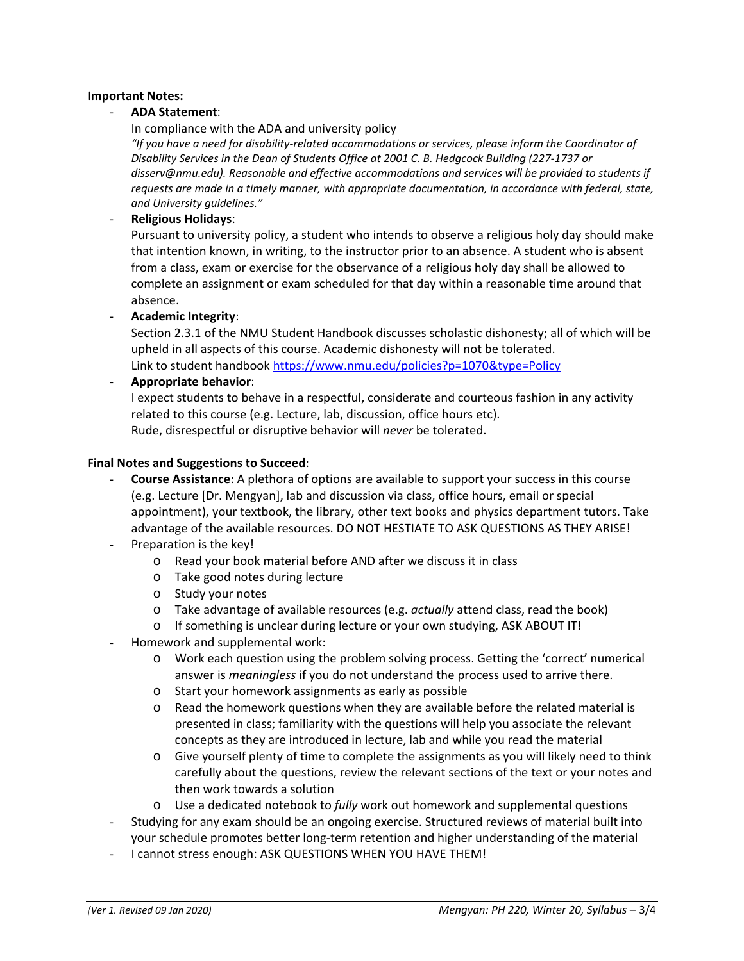#### **Important Notes:**

#### - **ADA Statement**:

In compliance with the ADA and university policy

*"If you have a need for disability‐related accommodations or services, please inform the Coordinator of Disability Services in the Dean of Students Office at 2001 C. B. Hedgcock Building (227‐1737 or disserv@nmu.edu). Reasonable and effective accommodations and services will be provided to students if requests are made in a timely manner, with appropriate documentation, in accordance with federal, state, and University guidelines."*

#### - **Religious Holidays**:

Pursuant to university policy, a student who intends to observe a religious holy day should make that intention known, in writing, to the instructor prior to an absence. A student who is absent from a class, exam or exercise for the observance of a religious holy day shall be allowed to complete an assignment or exam scheduled for that day within a reasonable time around that absence.

- **Academic Integrity**:

Section 2.3.1 of the NMU Student Handbook discusses scholastic dishonesty; all of which will be upheld in all aspects of this course. Academic dishonesty will not be tolerated. Link to student handbook https://www.nmu.edu/policies?p=1070&type=Policy

- **Appropriate behavior**:

I expect students to behave in a respectful, considerate and courteous fashion in any activity related to this course (e.g. Lecture, lab, discussion, office hours etc). Rude, disrespectful or disruptive behavior will *never* be tolerated.

#### **Final Notes and Suggestions to Succeed**:

- **Course Assistance**: A plethora of options are available to support your success in this course (e.g. Lecture [Dr. Mengyan], lab and discussion via class, office hours, email or special appointment), your textbook, the library, other text books and physics department tutors. Take advantage of the available resources. DO NOT HESTIATE TO ASK QUESTIONS AS THEY ARISE!
- Preparation is the key!
	- o Read your book material before AND after we discuss it in class
	- o Take good notes during lecture
	- o Study your notes
	- o Take advantage of available resources (e.g. *actually* attend class, read the book)
	- o If something is unclear during lecture or your own studying, ASK ABOUT IT!
- Homework and supplemental work:
	- o Work each question using the problem solving process. Getting the 'correct' numerical answer is *meaningless* if you do not understand the process used to arrive there.
	- o Start your homework assignments as early as possible
	- o Read the homework questions when they are available before the related material is presented in class; familiarity with the questions will help you associate the relevant concepts as they are introduced in lecture, lab and while you read the material
	- o Give yourself plenty of time to complete the assignments as you will likely need to think carefully about the questions, review the relevant sections of the text or your notes and then work towards a solution
	- o Use a dedicated notebook to *fully* work out homework and supplemental questions
- Studying for any exam should be an ongoing exercise. Structured reviews of material built into your schedule promotes better long‐term retention and higher understanding of the material
- I cannot stress enough: ASK QUESTIONS WHEN YOU HAVE THEM!